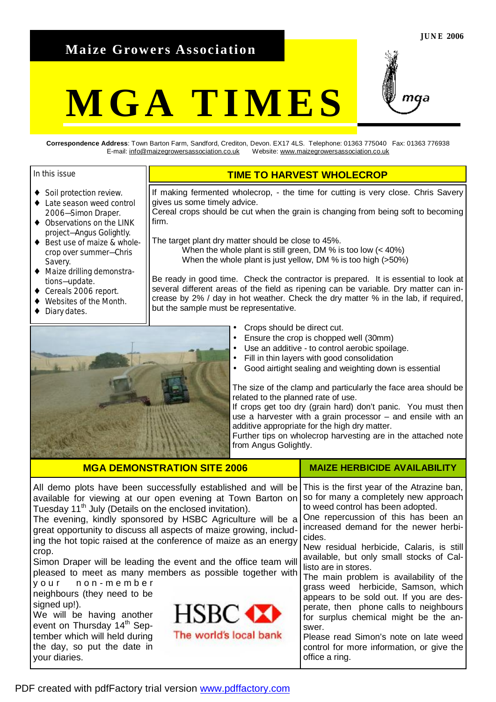# **Maize Growers Association**

# **MGA TIMES**

**Correspondence Address**: Town Barton Farm, Sandford, Crediton, Devon. EX17 4LS. Telephone: 01363 775040 Fax: 01363 776938 E-mail: [info@maizegrowersassociation.co.uk](mailto:info@maizegrowersassociation.co.uk) Website: [www.maizegrowersassociation.co.uk](http://www.maizegrowersassociation.co.uk)

#### In this issue

- ♦ Soil protection review.
- ♦ Late season weed control 2006—Simon Draper.
- ♦ Observations on the LINK project—Angus Golightly.
- Best use of maize & wholecrop over summer—Chris Savery.
- ♦ Maize drilling demonstrations—update.
- Cereals 2006 report.
- Websites of the Month.
- Diary dates.

# **TIME TO HARVEST WHOLECROP**

If making fermented wholecrop, - the time for cutting is very close. Chris Savery gives us some timely advice.

Cereal crops should be cut when the grain is changing from being soft to becoming firm.

The target plant dry matter should be close to 45%. When the whole plant is still green, DM % is too low (< 40%) When the whole plant is just yellow, DM % is too high (>50%)

Be ready in good time. Check the contractor is prepared. It is essential to look at several different areas of the field as ripening can be variable. Dry matter can increase by 2% / day in hot weather. Check the dry matter % in the lab, if required, but the sample must be representative.



**MGA DEMONSTRATION SITE 2006** 

- Crops should be direct cut.
- Ensure the crop is chopped well (30mm)
- Use an additive to control aerobic spoilage.
- Fill in thin layers with good consolidation
- Good airtight sealing and weighting down is essential

The size of the clamp and particularly the face area should be related to the planned rate of use.

If crops get too dry (grain hard) don't panic. You must then use a harvester with a grain processor – and ensile with an additive appropriate for the high dry matter.

Further tips on wholecrop harvesting are in the attached note from Angus Golightly.

**MAIZE HERBICIDE AVAILABILITY** 

| All demo plots have been successfully established and will be<br>available for viewing at our open evening at Town Barton on<br>Tuesday 11 <sup>th</sup> July (Details on the enclosed invitation).<br>The evening, kindly sponsored by HSBC Agriculture will be a<br>great opportunity to discuss all aspects of maize growing, includ-<br>ing the hot topic raised at the conference of maize as an energy<br>crop.<br>Simon Draper will be leading the event and the office team will<br>pleased to meet as many members as possible together with<br>your non-member<br>neighbours (they need to be<br>signed up!).<br>HSBC <b>XX</b><br>We will be having another<br>event on Thursday 14 <sup>th</sup> Sep-<br>The world's local bank<br>tember which will held during<br>the day, so put the date in<br>your diaries. | This is the first year of the Atrazine ban,<br>so for many a completely new approach<br>to weed control has been adopted.<br>One repercussion of this has been an<br>increased demand for the newer herbi-<br>cides.<br>New residual herbicide, Calaris, is still<br>available, but only small stocks of Cal-<br>listo are in stores.<br>The main problem is availability of the<br>grass weed herbicide, Samson, which<br>appears to be sold out. If you are des-<br>perate, then phone calls to neighbours<br>for surplus chemical might be the an-<br>swer.<br>Please read Simon's note on late weed<br>control for more information, or give the<br>office a ring. |
|------------------------------------------------------------------------------------------------------------------------------------------------------------------------------------------------------------------------------------------------------------------------------------------------------------------------------------------------------------------------------------------------------------------------------------------------------------------------------------------------------------------------------------------------------------------------------------------------------------------------------------------------------------------------------------------------------------------------------------------------------------------------------------------------------------------------------|------------------------------------------------------------------------------------------------------------------------------------------------------------------------------------------------------------------------------------------------------------------------------------------------------------------------------------------------------------------------------------------------------------------------------------------------------------------------------------------------------------------------------------------------------------------------------------------------------------------------------------------------------------------------|

PDF created with pdfFactory trial version [www.pdffactory.com](http://www.pdffactory.com)

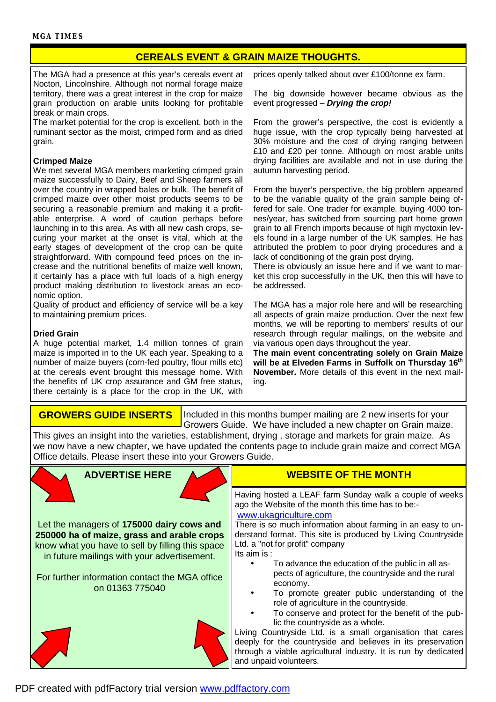# **CEREALS EVENT & GRAIN MAIZE THOUGHTS.**

The MGA had a presence at this year's cereals event at Nocton, Lincolnshire. Although not normal forage maize territory, there was a great interest in the crop for maize grain production on arable units looking for profitable break or main crops.

The market potential for the crop is excellent, both in the ruminant sector as the moist, crimped form and as dried grain.

#### **Crimped Maize**

We met several MGA members marketing crimped grain maize successfully to Dairy, Beef and Sheep farmers all over the country in wrapped bales or bulk. The benefit of crimped maize over other moist products seems to be securing a reasonable premium and making it a profitable enterprise. A word of caution perhaps before launching in to this area. As with all new cash crops, securing your market at the onset is vital, which at the early stages of development of the crop can be quite straightforward. With compound feed prices on the increase and the nutritional benefits of maize well known, it certainly has a place with full loads of a high energy product making distribution to livestock areas an economic option.

Quality of product and efficiency of service will be a key to maintaining premium prices.

#### **Dried Grain**

A huge potential market, 1.4 million tonnes of grain maize is imported in to the UK each year. Speaking to a number of maize buyers (corn-fed poultry, flour mills etc) at the cereals event brought this message home. With the benefits of UK crop assurance and GM free status, there certainly is a place for the crop in the UK, with prices openly talked about over £100/tonne ex farm.

The big downside however became obvious as the event progressed – *Drying the crop!* 

From the grower's perspective, the cost is evidently a huge issue, with the crop typically being harvested at 30% moisture and the cost of drying ranging between £10 and £20 per tonne. Although on most arable units drying facilities are available and not in use during the autumn harvesting period.

From the buyer's perspective, the big problem appeared to be the variable quality of the grain sample being offered for sale. One trader for example, buying 4000 tonnes/year, has switched from sourcing part home grown grain to all French imports because of high myctoxin levels found in a large number of the UK samples. He has attributed the problem to poor drying procedures and a lack of conditioning of the grain post drying.

There is obviously an issue here and if we want to market this crop successfully in the UK, then this will have to be addressed.

The MGA has a major role here and will be researching all aspects of grain maize production. Over the next few months, we will be reporting to members' results of our research through regular mailings, on the website and via various open days throughout the year.

**The main event concentrating solely on Grain Maize will be at Elveden Farms in Suffolk on Thursday 16th November.** More details of this event in the next mailing.

## **GROWERS GUIDE INSERTS**

Included in this months bumper mailing are 2 new inserts for your Growers Guide. We have included a new chapter on Grain maize.

This gives an insight into the varieties, establishment, drying , storage and markets for grain maize. As we now have a new chapter, we have updated the contents page to include grain maize and correct MGA Office details. Please insert these into your Growers Guide.

# **ADVERTISE HERE**

Let the managers of **175000 dairy cows and 250000 ha of maize, grass and arable crops** know what you have to sell by filling this space in future mailings with your advertisement.

For further information contact the MGA office on 01363 775040





## **WEBSITE OF THE MONTH**

Having hosted a LEAF farm Sunday walk a couple of weeks ago the Website of the month this time has to be: [www.ukagriculture.com](http://www.ukagriculture.com)

There is so much information about farming in an easy to understand format. This site is produced by Living Countryside Ltd. a "not for profit" company Its aim is :

- To advance the education of the public in all aspects of agriculture, the countryside and the rural economy.
- To promote greater public understanding of the role of agriculture in the countryside.
- To conserve and protect for the benefit of the public the countryside as a whole.

Living Countryside Ltd. is a small organisation that cares deeply for the countryside and believes in its preservation through a viable agricultural industry. It is run by dedicated and unpaid volunteers.